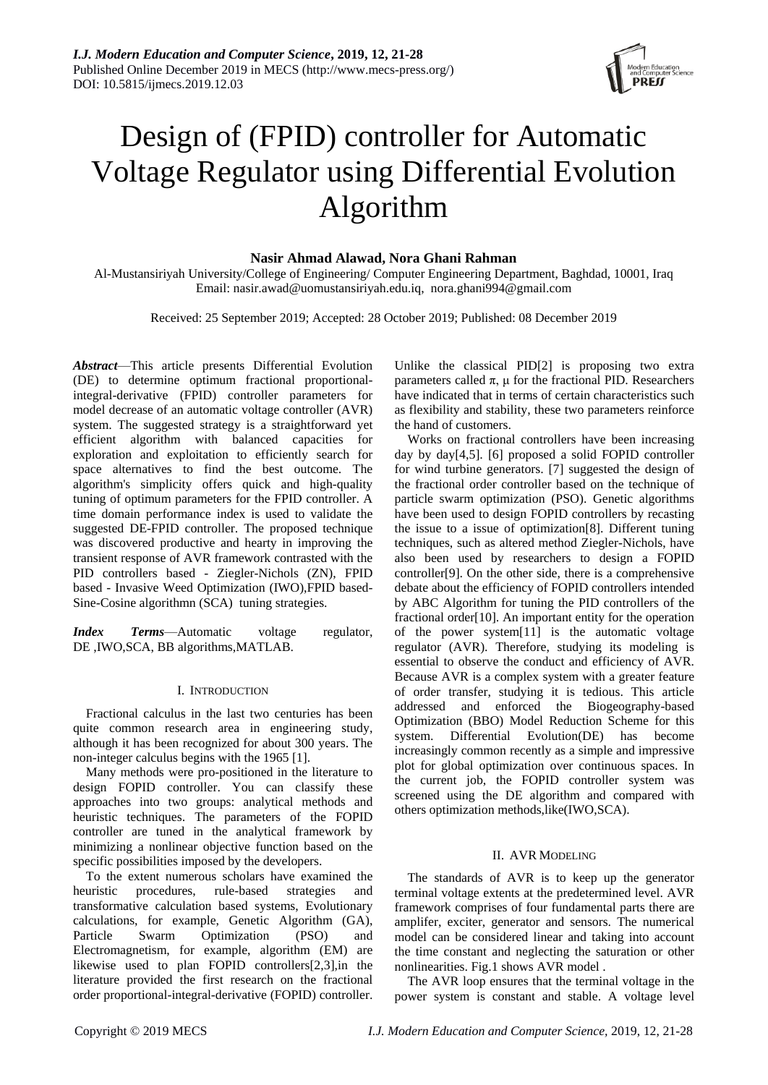

# Design of (FPID) controller for Automatic Voltage Regulator using Differential Evolution Algorithm

# **Nasir Ahmad Alawad, Nora Ghani Rahman**

Al-Mustansiriyah University/College of Engineering/ Computer Engineering Department, Baghdad, 10001, Iraq Email: [nasir.awad@uomustansiriyah.edu.iq,](mailto:nasir.awad@uomustansiriyah.edu.iq) [nora.ghani994@gmail.com](mailto:nora.ghani994@gmail.com)

Received: 25 September 2019; Accepted: 28 October 2019; Published: 08 December 2019

*Abstract*—This article presents Differential Evolution (DE) to determine optimum fractional proportionalintegral-derivative (FPID) controller parameters for model decrease of an automatic voltage controller (AVR) system. The suggested strategy is a straightforward yet efficient algorithm with balanced capacities for exploration and exploitation to efficiently search for space alternatives to find the best outcome. The algorithm's simplicity offers quick and high-quality tuning of optimum parameters for the FPID controller. A time domain performance index is used to validate the suggested DE-FPID controller. The proposed technique was discovered productive and hearty in improving the transient response of AVR framework contrasted with the PID controllers based - Ziegler-Nichols (ZN), FPID based - Invasive Weed Optimization (IWO),FPID based-Sine-Cosine algorithmn (SCA) tuning strategies.

*Index Terms*—Automatic voltage regulator, DE ,IWO,SCA, BB algorithms,MATLAB.

# I. INTRODUCTION

Fractional calculus in the last two centuries has been quite common research area in engineering study, although it has been recognized for about 300 years. The non-integer calculus begins with the 1965 [1].

Many methods were pro-positioned in the literature to design FOPID controller. You can classify these approaches into two groups: analytical methods and heuristic techniques. The parameters of the FOPID controller are tuned in the analytical framework by minimizing a nonlinear objective function based on the specific possibilities imposed by the developers.

To the extent numerous scholars have examined the heuristic procedures, rule-based strategies and transformative calculation based systems, Evolutionary calculations, for example, Genetic Algorithm (GA), Particle Swarm Optimization (PSO) and Electromagnetism, for example, algorithm (EM) are likewise used to plan FOPID controllers[2,3],in the literature provided the first research on the fractional order proportional-integral-derivative (FOPID) controller. Unlike the classical PID[2] is proposing two extra parameters called π, μ for the fractional PID. Researchers have indicated that in terms of certain characteristics such as flexibility and stability, these two parameters reinforce the hand of customers.

Works on fractional controllers have been increasing day by day[4,5]. [6] proposed a solid FOPID controller for wind turbine generators. [7] suggested the design of the fractional order controller based on the technique of particle swarm optimization (PSO). Genetic algorithms have been used to design FOPID controllers by recasting the issue to a issue of optimization[8]. Different tuning techniques, such as altered method Ziegler-Nichols, have also been used by researchers to design a FOPID controller[9]. On the other side, there is a comprehensive debate about the efficiency of FOPID controllers intended by ABC Algorithm for tuning the PID controllers of the fractional order[10]. An important entity for the operation of the power system[11] is the automatic voltage regulator (AVR). Therefore, studying its modeling is essential to observe the conduct and efficiency of AVR. Because AVR is a complex system with a greater feature of order transfer, studying it is tedious. This article addressed and enforced the Biogeography-based Optimization (BBO) Model Reduction Scheme for this system. Differential Evolution(DE) has become increasingly common recently as a simple and impressive plot for global optimization over continuous spaces. In the current job, the FOPID controller system was screened using the DE algorithm and compared with others optimization methods,like(IWO,SCA).

# II. AVR MODELING

The standards of AVR is to keep up the generator terminal voltage extents at the predetermined level. AVR framework comprises of four fundamental parts there are amplifer, exciter, generator and sensors. The numerical model can be considered linear and taking into account the time constant and neglecting the saturation or other nonlinearities. Fig.1 shows AVR model .

The AVR loop ensures that the terminal voltage in the power system is constant and stable. A voltage level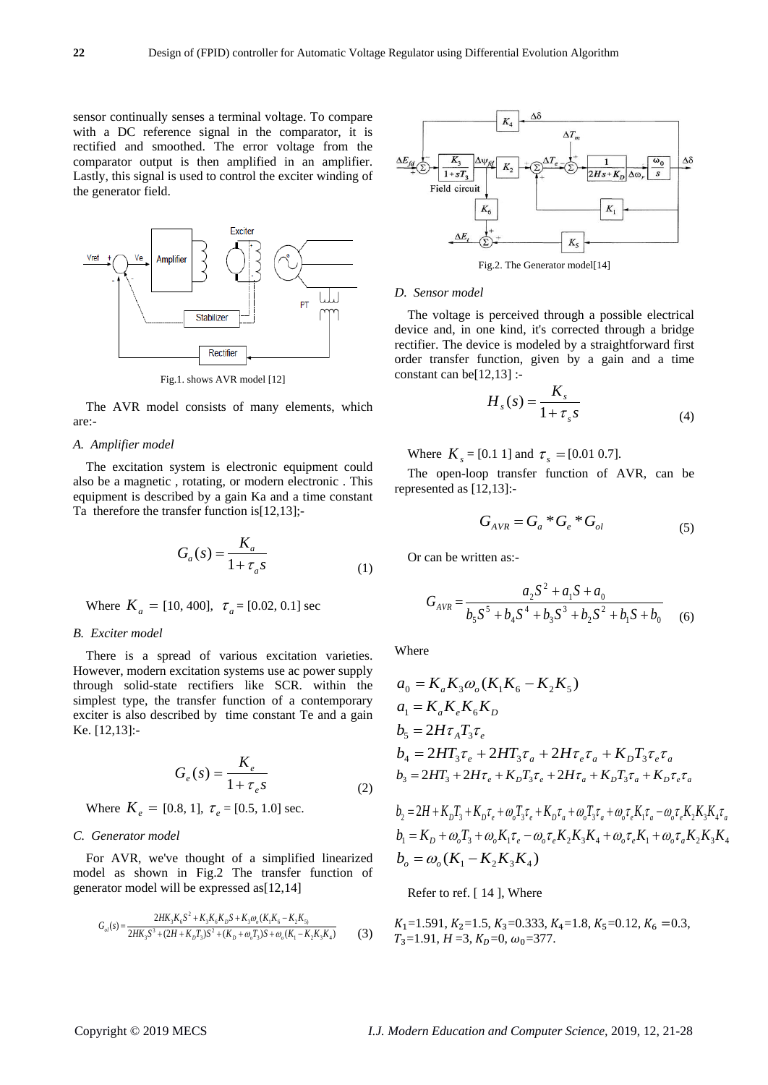sensor continually senses a terminal voltage. To compare with a DC reference signal in the comparator, it is rectified and smoothed. The error voltage from the comparator output is then amplified in an amplifier. Lastly, this signal is used to control the exciter winding of the generator field.



Fig.1. shows AVR model [12]

The AVR model consists of many elements, which are:-

## *A. Amplifier model*

The excitation system is electronic equipment could also be a magnetic , rotating, or modern electronic . This equipment is described by a gain Ka and a time constant Ta therefore the transfer function is [12,13];-

$$
G_a(s) = \frac{K_a}{1 + \tau_a s} \tag{1}
$$

Where  $K_a = [10, 400]$ ,  $\tau_a = [0.02, 0.1]$  sec

## *B. Exciter model*

There is a spread of various excitation varieties. However, modern excitation systems use ac power supply through solid-state rectifiers like SCR. within the simplest type, the transfer function of a contemporary exciter is also described by time constant Te and a gain Ke. [12,13]:-

$$
G_e(s) = \frac{K_e}{1 + \tau_e s}
$$
 (2)

Where  $K_e = [0.8, 1]$ ,  $\tau_e = [0.5, 1.0]$  sec.

### *C. Generator model*

For AVR, we've thought of a simplified linearized model as shown in Fig.2 The transfer function of generator model will be expressed as[12,14]

$$
G_{ol}(s) = \frac{2HK_3K_6S^2 + K_3K_6K_DS + K_3\omega_o(K_1K_6 - K_2K_5)}{2HK_3S^3 + (2H + K_0T_3)S^2 + (K_D + \omega_o T_3)S + \omega_o(K_1 - K_2K_3K_4)}
$$
(3)



Fig.2. The Generator model[14]

## *D. Sensor model*

The voltage is perceived through a possible electrical device and, in one kind, it's corrected through a bridge rectifier. The device is modeled by a straightforward first order transfer function, given by a gain and a time constant can be[12,13] :-

$$
H_s(s) = \frac{K_s}{1 + \tau_s s} \tag{4}
$$

Where  $K_s = [0.1 \ 1]$  and  $\tau_s = [0.01 \ 0.7]$ .

The open-loop transfer function of AVR, can be represented as [12,13]:-

$$
G_{AVR} = G_a * G_e * G_{ol} \tag{5}
$$

Or can be written as:-

$$
G_{AVR} = \frac{a_2 S^2 + a_1 S + a_0}{b_5 S^5 + b_4 S^4 + b_3 S^3 + b_2 S^2 + b_1 S + b_0}
$$
 (6)

Where

$$
a_0 = K_a K_3 \omega_o (K_1 K_6 - K_2 K_5)
$$
  
\n
$$
a_1 = K_a K_e K_6 K_D
$$
  
\n
$$
b_5 = 2H\tau_A T_3 \tau_e
$$
  
\n
$$
b_4 = 2H\tau_3 \tau_e + 2H\tau_3 \tau_a + 2H\tau_e \tau_a + K_D T_3 \tau_e \tau_a
$$
  
\n
$$
b_3 = 2H\tau_3 + 2H\tau_e + K_D T_3 \tau_e + 2H\tau_a + K_D T_3 \tau_a + K_D \tau_e \tau_a
$$

$$
b_2 = 2H + K_D T_3 + K_D \tau_e + \omega_o T_3 \tau_e + K_D \tau_a + \omega_o T_3 \tau_a + \omega_o \tau_e K_1 \tau_a - \omega_o \tau_e K_2 K_3 K_4 \tau_a
$$
  
\n
$$
b_1 = K_D + \omega_o T_3 + \omega_o K_1 \tau_e - \omega_o \tau_e K_2 K_3 K_4 + \omega_o \tau_e K_1 + \omega_o \tau_a K_2 K_3 K_4
$$
  
\n
$$
b_o = \omega_o (K_1 - K_2 K_3 K_4)
$$

Refer to ref. [ 14 ], Where

$$
K_1=1.591
$$
,  $K_2=1.5$ ,  $K_3=0.333$ ,  $K_4=1.8$ ,  $K_5=0.12$ ,  $K_6=0.3$ ,  $T_3=1.91$ ,  $H=3$ ,  $K_0=0$ ,  $\omega_0=377$ .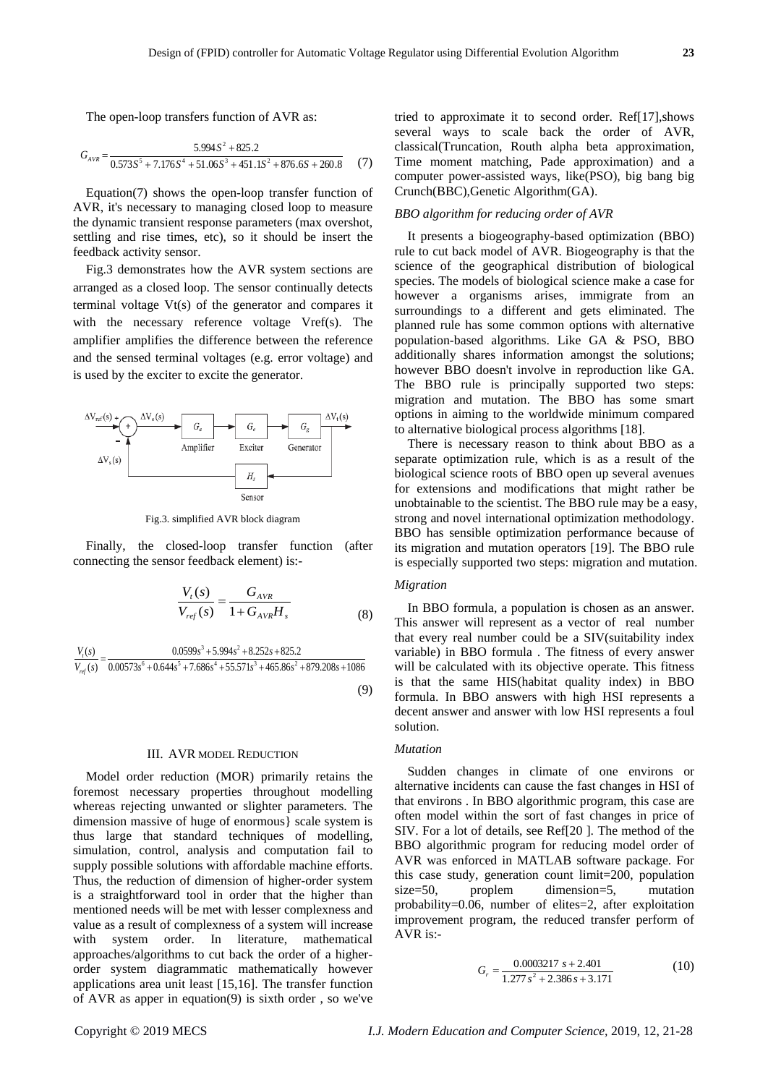The open-loop transfers function of AVR as:

$$
G_{AVR} = \frac{5.9945^2 + 825.2}{0.5735^5 + 7.1765^4 + 51.065^3 + 451.15^2 + 876.65 + 260.8}
$$
 (7)

Equation(7) shows the open-loop transfer function of AVR, it's necessary to managing closed loop to measure the dynamic transient response parameters (max overshot, settling and rise times, etc), so it should be insert the feedback activity sensor.

Fig.3 demonstrates how the AVR system sections are arranged as a closed loop. The sensor continually detects terminal voltage Vt(s) of the generator and compares it with the necessary reference voltage Vref(s). The amplifier amplifies the difference between the reference and the sensed terminal voltages (e.g. error voltage) and is used by the exciter to excite the generator.



Fig.3. simplified AVR block diagram

Finally, the closed-loop transfer function (after connecting the sensor feedback element) is:-

$$
\frac{V_{t}(s)}{V_{ref}(s)} = \frac{G_{AVR}}{1 + G_{AVR}H_{s}}
$$
(8)

$$
V_{ref}(s) = \frac{0.0599s^3 + 5.994s^2 + 8.252s + 825.2}{0.00573s^6 + 0.644s^5 + 7.686s^4 + 55.571s^3 + 465.86s^2 + 879.208s + 1086}
$$
(8)

(9)

## III. AVR MODEL REDUCTION

Model order reduction (MOR) primarily retains the foremost necessary properties throughout modelling whereas rejecting unwanted or slighter parameters. The dimension massive of huge of enormous} scale system is thus large that standard techniques of modelling, simulation, control, analysis and computation fail to supply possible solutions with affordable machine efforts. Thus, the reduction of dimension of higher-order system is a straightforward tool in order that the higher than mentioned needs will be met with lesser complexness and value as a result of complexness of a system will increase with system order. In literature, mathematical approaches/algorithms to cut back the order of a higherorder system diagrammatic mathematically however applications area unit least [15,16]. The transfer function of AVR as apper in equation(9) is sixth order , so we've tried to approximate it to second order. Ref[17],shows several ways to scale back the order of AVR, classical(Truncation, Routh alpha beta approximation, Time moment matching, Pade approximation) and a computer power-assisted ways, like(PSO), big bang big Crunch(BBC),Genetic Algorithm(GA).

# *BBO algorithm for reducing order of AVR*

It presents a biogeography-based optimization (BBO) rule to cut back model of AVR. Biogeography is that the science of the geographical distribution of biological species. The models of biological science make a case for however a organisms arises, immigrate from an surroundings to a different and gets eliminated. The planned rule has some common options with alternative population-based algorithms. Like GA & PSO, BBO additionally shares information amongst the solutions; however BBO doesn't involve in reproduction like GA. The BBO rule is principally supported two steps: migration and mutation. The BBO has some smart options in aiming to the worldwide minimum compared to alternative biological process algorithms [18].

There is necessary reason to think about BBO as a separate optimization rule, which is as a result of the biological science roots of BBO open up several avenues for extensions and modifications that might rather be unobtainable to the scientist. The BBO rule may be a easy, strong and novel international optimization methodology. BBO has sensible optimization performance because of its migration and mutation operators [19]. The BBO rule is especially supported two steps: migration and mutation.

# *Migration*

In BBO formula, a population is chosen as an answer. This answer will represent as a vector of real number that every real number could be a SIV(suitability index variable) in BBO formula . The fitness of every answer will be calculated with its objective operate. This fitness is that the same HIS(habitat quality index) in BBO formula. In BBO answers with high HSI represents a decent answer and answer with low HSI represents a foul solution.

# *Mutation*

Sudden changes in climate of one environs or alternative incidents can cause the fast changes in HSI of that environs . In BBO algorithmic program, this case are often model within the sort of fast changes in price of SIV. For a lot of details, see Ref[20 ]. The method of the BBO algorithmic program for reducing model order of AVR was enforced in MATLAB software package. For this case study, generation count limit=200, population size=50, proplem dimension=5, mutation probability=0.06, number of elites=2, after exploitation improvement program, the reduced transfer perform of AVR is:-

$$
G_r = \frac{0.0003217 \, s + 2.401}{1.277 \, s^2 + 2.386 \, s + 3.171} \tag{10}
$$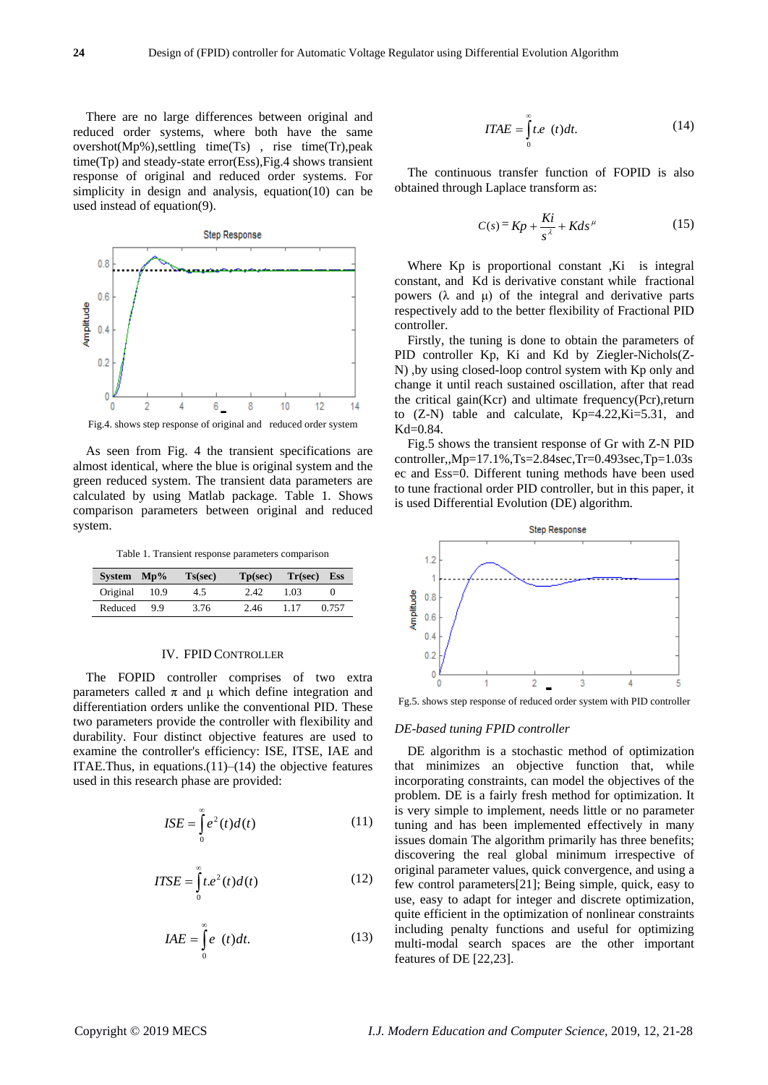There are no large differences between original and reduced order systems, where both have the same overshot(Mp%),settling time(Ts) , rise time(Tr),peak time(Tp) and steady-state error(Ess),Fig.4 shows transient response of original and reduced order systems. For simplicity in design and analysis, equation(10) can be used instead of equation(9).



As seen from Fig. 4 the transient specifications are almost identical, where the blue is original system and the green reduced system. The transient data parameters are calculated by using Matlab package. Table 1. Shows comparison parameters between original and reduced system.

Table 1. Transient response parameters comparison

| System Mp% |       | Ts(sec) | $\mathbf{Tp}(\mathbf{sec})$ | $Tr(sec)$ Ess |       |
|------------|-------|---------|-----------------------------|---------------|-------|
| Original   | -10.9 | 4.5     | 2.42                        | 1.03          |       |
| Reduced    | 99    | 3.76    | 2.46                        | 1.17          | 0.757 |

## IV. FPID CONTROLLER

The FOPID controller comprises of two extra parameters called π and μ which define integration and differentiation orders unlike the conventional PID. These two parameters provide the controller with flexibility and durability. Four distinct objective features are used to examine the controller's efficiency: ISE, ITSE, IAE and ITAE. Thus, in equations. $(11)$ – $(14)$  the objective features used in this research phase are provided:

$$
ISE = \int_{0}^{\infty} e^{2}(t)d(t)
$$
 (11)

$$
ITSE = \int_{0}^{\infty} t.e^{2}(t)d(t)
$$
 (12)

$$
IAE = \int_{0}^{\infty} e(t)dt.
$$
 (13)

$$
ITAE = \int_{0}^{\infty} t.e \quad (t)dt.
$$
 (14)

The continuous transfer function of FOPID is also obtained through Laplace transform as:

$$
C(s) = Kp + \frac{Ki}{s^{\lambda}} + Kds^{\mu} \tag{15}
$$

Where Kp is proportional constant , Ki is integral constant, and Kd is derivative constant while fractional powers (λ and μ) of the integral and derivative parts respectively add to the better flexibility of Fractional PID controller.

Firstly, the tuning is done to obtain the parameters of PID controller Kp, Ki and Kd by Ziegler-Nichols(Z-N) ,by using closed-loop control system with Kp only and change it until reach sustained oscillation, after that read the critical gain(Kcr) and ultimate frequency(Pcr),return to (Z-N) table and calculate, Kp=4.22,Ki=5.31, and Kd=0.84.

Fig.5 shows the transient response of Gr with Z-N PID controller,,Mp=17.1%,Ts=2.84sec,Tr=0.493sec,Tp=1.03s ec and Ess=0. Different tuning methods have been used to tune fractional order PID controller, but in this paper, it is used Differential Evolution (DE) algorithm.



Fg.5. shows step response of reduced order system with PID controller

## *DE-based tuning FPID controller*

DE algorithm is a stochastic method of optimization that minimizes an objective function that, while incorporating constraints, can model the objectives of the problem. DE is a fairly fresh method for optimization. It is very simple to implement, needs little or no parameter tuning and has been implemented effectively in many issues domain The algorithm primarily has three benefits; discovering the real global minimum irrespective of original parameter values, quick convergence, and using a few control parameters[21]; Being simple, quick, easy to use, easy to adapt for integer and discrete optimization, quite efficient in the optimization of nonlinear constraints including penalty functions and useful for optimizing multi-modal search spaces are the other important features of DE [22,23].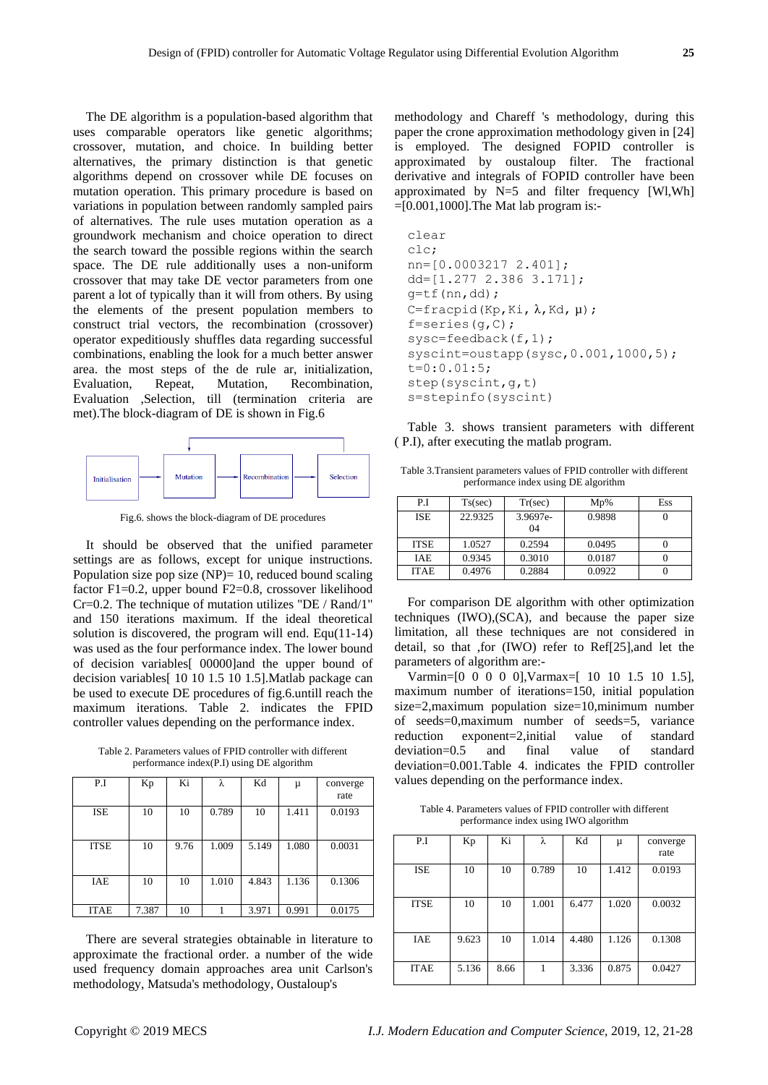The DE algorithm is a population-based algorithm that uses comparable operators like genetic algorithms; crossover, mutation, and choice. In building better alternatives, the primary distinction is that genetic algorithms depend on crossover while DE focuses on mutation operation. This primary procedure is based on variations in population between randomly sampled pairs of alternatives. The rule uses mutation operation as a groundwork mechanism and choice operation to direct the search toward the possible regions within the search space. The DE rule additionally uses a non-uniform crossover that may take DE vector parameters from one parent a lot of typically than it will from others. By using the elements of the present population members to construct trial vectors, the recombination (crossover) operator expeditiously shuffles data regarding successful combinations, enabling the look for a much better answer area. the most steps of the de rule ar, initialization, Evaluation, Repeat, Mutation, Recombination, Evaluation ,Selection, till (termination criteria are met).The block-diagram of DE is shown in Fig.6



Fig.6. shows the block-diagram of DE procedures

It should be observed that the unified parameter settings are as follows, except for unique instructions. Population size pop size  $(NP)= 10$ , reduced bound scaling factor F1=0.2, upper bound F2=0.8, crossover likelihood  $Cr=0.2$ . The technique of mutation utilizes "DE / Rand/1" and 150 iterations maximum. If the ideal theoretical solution is discovered, the program will end. Equ(11-14) was used as the four performance index. The lower bound of decision variables[ 00000]and the upper bound of decision variables[ 10 10 1.5 10 1.5].Matlab package can be used to execute DE procedures of fig.6.untill reach the maximum iterations. Table 2. indicates the FPID controller values depending on the performance index.

Table 2. Parameters values of FPID controller with different performance index(P.I) using DE algorithm

| P.I         | Kp    | Ki   | λ     | Kd    | μ     | converge<br>rate |
|-------------|-------|------|-------|-------|-------|------------------|
| <b>ISE</b>  | 10    | 10   | 0.789 | 10    | 1.411 | 0.0193           |
| <b>ITSE</b> | 10    | 9.76 | 1.009 | 5.149 | 1.080 | 0.0031           |
| IAE         | 10    | 10   | 1.010 | 4.843 | 1.136 | 0.1306           |
| <b>ITAE</b> | 7.387 | 10   |       | 3.971 | 0.991 | 0.0175           |

There are several strategies obtainable in literature to approximate the fractional order. a number of the wide used frequency domain approaches area unit Carlson's methodology, Matsuda's methodology, Oustaloup's

methodology and Chareff 's methodology, during this paper the crone approximation methodology given in [24] is employed. The designed FOPID controller is approximated by oustaloup filter. The fractional derivative and integrals of FOPID controller have been approximated by N=5 and filter frequency [Wl,Wh]  $=[0.001,1000]$ . The Mat lab program is:-

```
clear
clc;
nn=[0.0003217 2.401];
dd=[1.277 2.386 3.171];
g=tf(nn,dd);
C=fracpid(Kp, Ki, \lambda, Kd, \mu);
f=series(g, C);
sysc=feedback(f,1);
syscint=oustapp(sysc, 0.001, 1000, 5);
t=0:0.01:5;
step(syscint,g,t)
s=stepinfo(syscint)
```
Table 3. shows transient parameters with different ( P.I), after executing the matlab program.

Table 3.Transient parameters values of FPID controller with different performance index using DE algorithm

| P.I         | Ts(sec) | Tr(sec)  | $Mp\%$ | Ess |
|-------------|---------|----------|--------|-----|
| <b>ISE</b>  | 22.9325 | 3.9697e- | 0.9898 |     |
|             |         | 04       |        |     |
| <b>ITSE</b> | 1.0527  | 0.2594   | 0.0495 |     |
| <b>IAE</b>  | 0.9345  | 0.3010   | 0.0187 |     |
| <b>ITAE</b> | 0.4976  | 0.2884   | 0.0922 |     |

For comparison DE algorithm with other optimization techniques (IWO),(SCA), and because the paper size limitation, all these techniques are not considered in detail, so that ,for (IWO) refer to Ref[25],and let the parameters of algorithm are:-

Varmin=[0 0 0 0 0],Varmax=[ 10 10 1.5 10 1.5], maximum number of iterations=150, initial population size=2,maximum population size=10,minimum number of seeds=0,maximum number of seeds=5, variance reduction exponent=2,initial value of standard deviation=0.5 and final value of standard deviation=0.001.Table 4. indicates the FPID controller values depending on the performance index.

Table 4. Parameters values of FPID controller with different performance index using IWO algorithm

| P.I         | Kp    | Ki   | λ     | Kd    | μ     | converge<br>rate |
|-------------|-------|------|-------|-------|-------|------------------|
| <b>ISE</b>  | 10    | 10   | 0.789 | 10    | 1.412 | 0.0193           |
| <b>ITSE</b> | 10    | 10   | 1.001 | 6.477 | 1.020 | 0.0032           |
| IAE         | 9.623 | 10   | 1.014 | 4.480 | 1.126 | 0.1308           |
| <b>ITAE</b> | 5.136 | 8.66 |       | 3.336 | 0.875 | 0.0427           |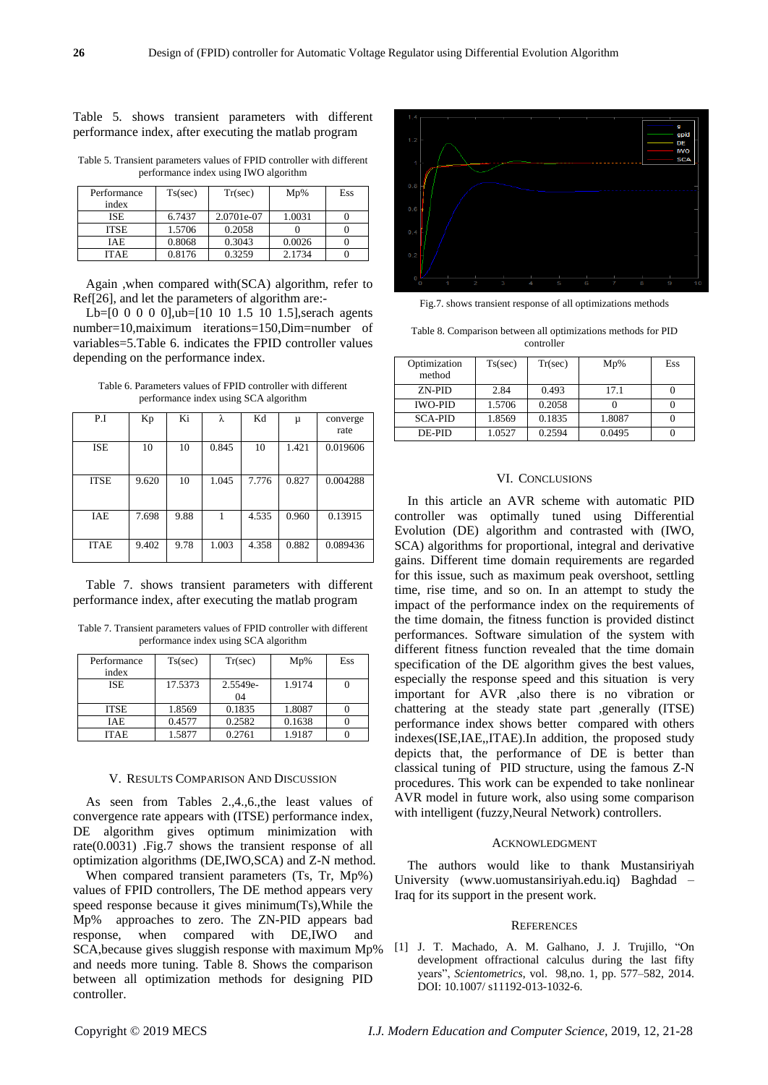# Table 5. shows transient parameters with different performance index, after executing the matlab program

Table 5. Transient parameters values of FPID controller with different performance index using IWO algorithm

| Performance<br>index | Ts(sec) | Tr(sec)    | $Mp\%$ | Ess |
|----------------------|---------|------------|--------|-----|
| <b>ISE</b>           | 6.7437  | 2.0701e-07 | 1.0031 |     |
| <b>ITSE</b>          | 1.5706  | 0.2058     |        |     |
| IAE                  | 0.8068  | 0.3043     | 0.0026 |     |
| <b>ITAE</b>          | 0.8176  | 0.3259     | 2.1734 |     |

Again ,when compared with(SCA) algorithm, refer to Ref[26], and let the parameters of algorithm are:-

Lb=[0 0 0 0 0],ub=[10 10 1.5 10 1.5], serach agents number=10,maiximum iterations=150,Dim=number of variables=5.Table 6. indicates the FPID controller values depending on the performance index.

Table 6. Parameters values of FPID controller with different performance index using SCA algorithm

| P.I         | Kp    | Ki   | λ     | Kd    | μ     | converge<br>rate |
|-------------|-------|------|-------|-------|-------|------------------|
| ISE         | 10    | 10   | 0.845 | 10    | 1.421 | 0.019606         |
| <b>ITSE</b> | 9.620 | 10   | 1.045 | 7.776 | 0.827 | 0.004288         |
| IAE         | 7.698 | 9.88 |       | 4.535 | 0.960 | 0.13915          |
| <b>ITAE</b> | 9.402 | 9.78 | 1.003 | 4.358 | 0.882 | 0.089436         |

Table 7. shows transient parameters with different performance index, after executing the matlab program

Table 7. Transient parameters values of FPID controller with different performance index using SCA algorithm

| Performance | Ts(sec) | Tr(sec)  | $Mp\%$ | Ess |
|-------------|---------|----------|--------|-----|
| index       |         |          |        |     |
| <b>ISE</b>  | 17.5373 | 2.5549e- | 1.9174 |     |
|             |         | 04       |        |     |
| <b>ITSE</b> | 1.8569  | 0.1835   | 1.8087 |     |
| <b>IAE</b>  | 0.4577  | 0.2582   | 0.1638 |     |
| <b>ITAE</b> | 1.5877  | 0.2761   | 1.9187 |     |

#### V. RESULTS COMPARISON AND DISCUSSION

As seen from Tables 2.,4.,6.,the least values of convergence rate appears with (ITSE) performance index, DE algorithm gives optimum minimization with rate(0.0031) .Fig.7 shows the transient response of all optimization algorithms (DE,IWO,SCA) and Z-N method.

When compared transient parameters (Ts, Tr, Mp%) values of FPID controllers, The DE method appears very speed response because it gives minimum(Ts),While the Mp% approaches to zero. The ZN-PID appears bad response, when compared with DE,IWO and SCA,because gives sluggish response with maximum Mp% and needs more tuning. Table 8. Shows the comparison between all optimization methods for designing PID controller.



Fig.7. shows transient response of all optimizations methods

Table 8. Comparison between all optimizations methods for PID controller

| Optimization<br>method | Ts(sec) | Tr(sec) | $Mp\%$ | Ess |
|------------------------|---------|---------|--------|-----|
| ZN-PID                 | 2.84    | 0.493   | 17.1   |     |
| <b>IWO-PID</b>         | 1.5706  | 0.2058  |        |     |
| <b>SCA-PID</b>         | 1.8569  | 0.1835  | 1.8087 |     |
| DE-PID                 | 1.0527  | 0.2594  | 0.0495 |     |

# VI. CONCLUSIONS

In this article an AVR scheme with automatic PID controller was optimally tuned using Differential Evolution (DE) algorithm and contrasted with (IWO, SCA) algorithms for proportional, integral and derivative gains. Different time domain requirements are regarded for this issue, such as maximum peak overshoot, settling time, rise time, and so on. In an attempt to study the impact of the performance index on the requirements of the time domain, the fitness function is provided distinct performances. Software simulation of the system with different fitness function revealed that the time domain specification of the DE algorithm gives the best values, especially the response speed and this situation is very important for AVR ,also there is no vibration or chattering at the steady state part ,generally (ITSE) performance index shows better compared with others indexes(ISE,IAE,,ITAE).In addition, the proposed study depicts that, the performance of DE is better than classical tuning of PID structure, using the famous Z-N procedures. This work can be expended to take nonlinear AVR model in future work, also using some comparison with intelligent (fuzzy, Neural Network) controllers.

# ACKNOWLEDGMENT

The authors would like to thank Mustansiriyah University (www.uomustansiriyah.edu.iq) Baghdad – Iraq for its support in the present work.

## **REFERENCES**

[1] J. T. Machado, A. M. Galhano, J. J. Trujillo, "On development offractional calculus during the last fifty years", *Scientometrics*, vol. 98,no. 1, pp. 577–582, 2014. DOI: 10.1007/ s11192-013-1032-6.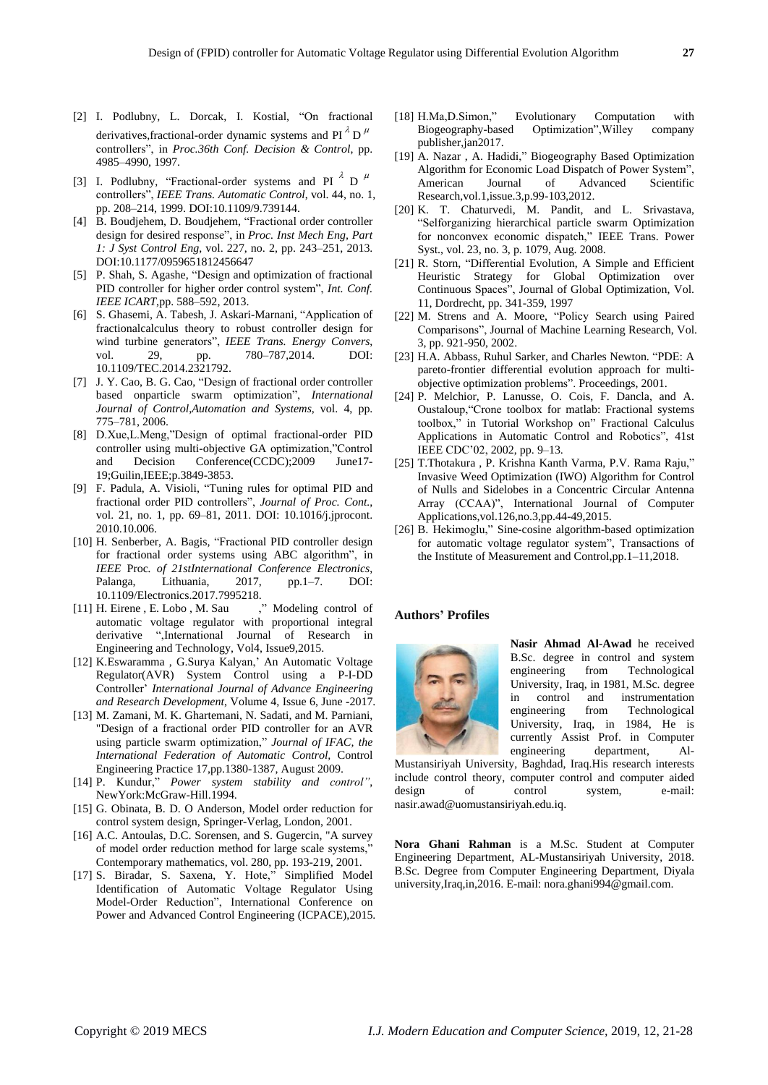- [2] I. Podlubny, L. Dorcak, I. Kostial, "On fractional derivatives, fractional-order dynamic systems and PI $^{\lambda}$  D<sup> $\mu$ </sup> controllers", in *Proc.36th Conf. Decision & Control*, pp. 4985–4990, 1997.
- [3] I. Podlubny, "Fractional-order systems and PI  $\lambda$  D  $\mu$ controllers", *IEEE Trans. Automatic Control*, vol. 44, no. 1, pp. 208–214, 1999. DOI:10.1109/9.739144.
- [4] B. Boudiehem, D. Boudiehem, "Fractional order controller design for desired response", in *Proc. Inst Mech Eng, Part 1: J Syst Control Eng*, vol. 227, no. 2, pp. 243–251, 2013. DOI:10.1177/0959651812456647
- [5] P. Shah, S. Agashe, "Design and optimization of fractional PID controller for higher order control system", *Int. Conf. IEEE ICART*,pp. 588–592, 2013.
- [6] S. Ghasemi, A. Tabesh, J. Askari-Marnani, "Application of fractionalcalculus theory to robust controller design for wind turbine generators", *IEEE Trans. Energy Convers*, vol. 29, pp. 780–787,2014. DOI: 10.1109/TEC.2014.2321792.
- [7] J. Y. Cao, B. G. Cao, "Design of fractional order controller based onparticle swarm optimization", *International Journal of Control*,*Automation and Systems*, vol. 4, pp. 775–781, 2006.
- [8] D.Xue,L.Meng,"Design of optimal fractional-order PID controller using multi-objective GA optimization,"Control and Decision Conference(CCDC);2009 June17- 19;Guilin,IEEE;p.3849-3853.
- [9] F. Padula, A. Visioli, "Tuning rules for optimal PID and fractional order PID controllers", *Journal of Proc. Cont.*, vol. 21, no. 1, pp. 69–81, 2011. DOI: 10.1016/j.jprocont. 2010.10.006.
- [10] H. Senberber, A. Bagis, "Fractional PID controller design for fractional order systems using ABC algorithm", in *IEEE* Proc*. of 21stInternational Conference Electronics*, Palanga, Lithuania, 2017, pp.1–7. DOI: 10.1109/Electronics.2017.7995218.
- [11] H. Eirene, E. Lobo, M. Sau ," Modeling control of automatic voltage regulator with proportional integral derivative ",International Journal of Research in Engineering and Technology, Vol4, Issue9,2015.
- [12] K.Eswaramma , G.Surya Kalyan,' An Automatic Voltage Regulator(AVR) System Control using a P-I-DD Controller' *International Journal of Advance Engineering and Research Development*, Volume 4, Issue 6, June -2017.
- [13] M. Zamani, M. K. Ghartemani, N. Sadati, and M. Parniani, "Design of a fractional order PID controller for an AVR using particle swarm optimization," *Journal of IFAC, the International Federation of Automatic Control,* Control Engineering Practice 17,pp.1380-1387, August 2009.
- [14] P. Kundur," *Power system stability and control"*, NewYork:McGraw-Hill.1994.
- [15] G. Obinata, B. D. O Anderson, Model order reduction for control system design, Springer-Verlag, London, 2001.
- [16] A.C. Antoulas, D.C. Sorensen, and S. Gugercin, "A survey of model order reduction method for large scale systems," Contemporary mathematics, vol. 280, pp. 193-219, 2001.
- [17] S. Biradar, S. Saxena, Y. Hote," Simplified Model Identification of Automatic Voltage Regulator Using Model-Order Reduction", International Conference on Power and Advanced Control Engineering (ICPACE),2015.
- [18] H.Ma,D.Simon," Evolutionary Computation with Biogeography-based Optimization",Willey company publisher,jan2017.
- [19] A. Nazar , A. Hadidi," Biogeography Based Optimization Algorithm for Economic Load Dispatch of Power System", American Journal of Advanced Scientific Research,vol.1,issue.3,p.99-103,2012.
- [20] K. T. Chaturvedi, M. Pandit, and L. Srivastava, "Selforganizing hierarchical particle swarm Optimization for nonconvex economic dispatch," IEEE Trans. Power Syst., vol. 23, no. 3, p. 1079, Aug. 2008.
- [21] R. Storn, "Differential Evolution, A Simple and Efficient Heuristic Strategy for Global Optimization over Continuous Spaces", Journal of Global Optimization, Vol. 11, Dordrecht, pp. 341-359, 1997
- [22] M. Strens and A. Moore, "Policy Search using Paired Comparisons", Journal of Machine Learning Research, Vol. 3, pp. 921-950, 2002.
- [23] H.A. Abbass, Ruhul Sarker, and Charles Newton. "PDE: A pareto-frontier differential evolution approach for multiobjective optimization problems". Proceedings, 2001.
- [24] P. Melchior, P. Lanusse, O. Cois, F. Dancla, and A. Oustaloup,"Crone toolbox for matlab: Fractional systems toolbox," in Tutorial Workshop on" Fractional Calculus Applications in Automatic Control and Robotics", 41st IEEE CDC'02, 2002, pp. 9–13.
- [25] T.Thotakura , P. Krishna Kanth Varma, P.V. Rama Raju," Invasive Weed Optimization (IWO) Algorithm for Control of Nulls and Sidelobes in a Concentric Circular Antenna Array (CCAA)", International Journal of Computer Applications,vol.126,no.3,pp.44-49,2015.
- [26] B. Hekimoglu," Sine-cosine algorithm-based optimization for automatic voltage regulator system", Transactions of the Institute of Measurement and Control,pp.1–11,2018.

## **Authors' Profiles**



**Nasir Ahmad Al-Awad** he received B.Sc. degree in control and system engineering from Technological University, Iraq, in 1981, M.Sc. degree in control and instrumentation engineering from Technological University, Iraq, in 1984, He is currently Assist Prof. in Computer engineering department, Al-

Mustansiriyah University, Baghdad, Iraq.His research interests include control theory, computer control and computer aided design of control system, e-mail: [nasir.awad@uomustansiriyah.edu.iq.](mailto:nasir.awad@uomustansiriyah.edu.iq)

**Nora Ghani Rahman** is a M.Sc. Student at Computer Engineering Department, AL-Mustansiriyah University, 2018. B.Sc. Degree from Computer Engineering Department, Diyala university,Iraq,in,2016. E-mail: [nora.ghani994@gmail.com.](mailto:nora.ghani994@gmail.com)